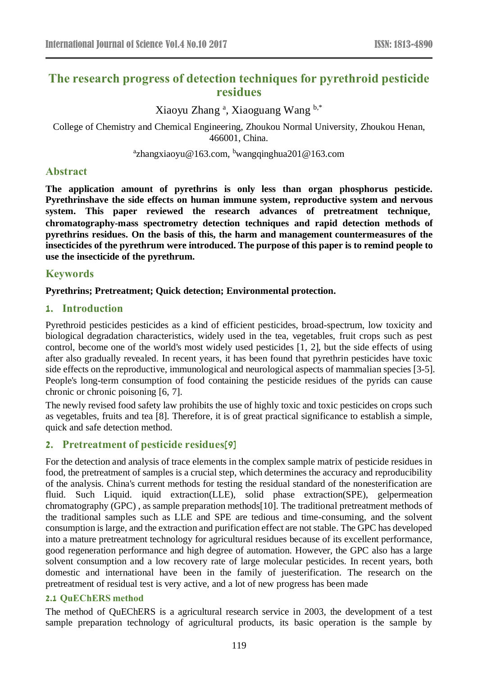# **The research progress of detection techniques for pyrethroid pesticide residues**

Xiaoyu Zhang <sup>a</sup>, Xiaoguang Wang <sup>b,\*</sup>

College of Chemistry and Chemical Engineering, Zhoukou Normal University, Zhoukou Henan, 466001, China.

<sup>a</sup>zhangxiaoyu@163.com, <sup>b</sup>wangqinghua201@163.com

# **Abstract**

**The application amount of pyrethrins is only less than organ phosphorus pesticide. Pyrethrinshave the side effects on human immune system, reproductive system and nervous system. This paper reviewed the research advances of pretreatment technique**, **chromatography-mass spectrometry detection techniques and rapid detection methods of pyrethrins residues. On the basis of this, the harm and management countermeasures of the insecticides of the pyrethrum were introduced. The purpose of this paper is to remind people to use the insecticide of the pyrethrum.**

# **Keywords**

# **Pyrethrins; Pretreatment; Quick detection; Environmental protection.**

# **1. Introduction**

Pyrethroid pesticides pesticides as a kind of efficient pesticides, broad-spectrum, low toxicity and biological degradation characteristics, widely used in the tea, vegetables, fruit crops such as pest control, become one of the world's most widely used pesticides [1, 2], but the side effects of using after also gradually revealed. In recent years, it has been found that pyrethrin pesticides have toxic side effects on the reproductive, immunological and neurological aspects of mammalian species [3-5]. People's long-term consumption of food containing the pesticide residues of the pyrids can cause chronic or chronic poisoning [6, 7].

The newly revised food safety law prohibits the use of highly toxic and toxic pesticides on crops such as vegetables, fruits and tea [8]. Therefore, it is of great practical significance to establish a simple, quick and safe detection method.

# **2. Pretreatment of pesticide residues[9]**

For the detection and analysis of trace elements in the complex sample matrix of pesticide residues in food, the pretreatment of samples is a crucial step, which determines the accuracy and reproducibility of the analysis. China's current methods for testing the residual standard of the nonesterification are fluid. Such Liquid. iquid extraction(LLE), solid phase extraction(SPE), gelpermeation chromatography (GPC) , as sample preparation methods[10]. The traditional pretreatment methods of the traditional samples such as LLE and SPE are tedious and time-consuming, and the solvent consumption is large, and the extraction and purification effect are not stable. The GPC has developed into a mature pretreatment technology for agricultural residues because of its excellent performance, good regeneration performance and high degree of automation. However, the GPC also has a large solvent consumption and a low recovery rate of large molecular pesticides. In recent years, both domestic and international have been in the family of juesterification. The research on the pretreatment of residual test is very active, and a lot of new progress has been made

# **2.1 QuEChERS method**

The method of QuEChERS is a agricultural research service in 2003, the development of a test sample preparation technology of agricultural products, its basic operation is the sample by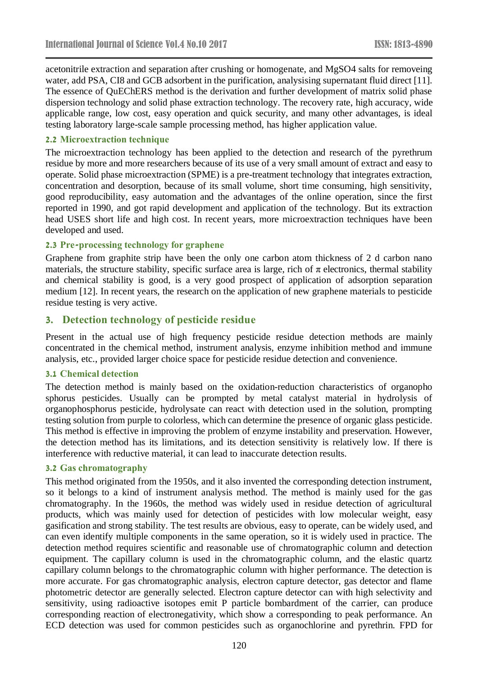acetonitrile extraction and separation after crushing or homogenate, and MgSO4 salts for removeing water, add PSA, CI8 and GCB adsorbent in the purification, analysising supernatant fluid direct [11]. The essence of QuEChERS method is the derivation and further development of matrix solid phase dispersion technology and solid phase extraction technology. The recovery rate, high accuracy, wide applicable range, low cost, easy operation and quick security, and many other advantages, is ideal testing laboratory large-scale sample processing method, has higher application value.

#### **2.2 Microextraction technique**

The microextraction technology has been applied to the detection and research of the pyrethrum residue by more and more researchers because of its use of a very small amount of extract and easy to operate. Solid phase microextraction (SPME) is a pre-treatment technology that integrates extraction, concentration and desorption, because of its small volume, short time consuming, high sensitivity, good reproducibility, easy automation and the advantages of the online operation, since the first reported in 1990, and got rapid development and application of the technology. But its extraction head USES short life and high cost. In recent years, more microextraction techniques have been developed and used.

#### **2.3 Pre-processing technology for graphene**

Graphene from graphite strip have been the only one carbon atom thickness of 2 d carbon nano materials, the structure stability, specific surface area is large, rich of  $\pi$  electronics, thermal stability and chemical stability is good, is a very good prospect of application of adsorption separation medium [12]. In recent years, the research on the application of new graphene materials to pesticide residue testing is very active.

#### **3. Detection technology of pesticide residue**

Present in the actual use of high frequency pesticide residue detection methods are mainly concentrated in the chemical method, instrument analysis, enzyme inhibition method and immune analysis, etc., provided larger choice space for pesticide residue detection and convenience.

#### **3.1 Chemical detection**

The detection method is mainly based on the oxidation-reduction characteristics of organopho sphorus pesticides. Usually can be prompted by metal catalyst material in hydrolysis of organophosphorus pesticide, hydrolysate can react with detection used in the solution, prompting testing solution from purple to colorless, which can determine the presence of organic glass pesticide. This method is effective in improving the problem of enzyme instability and preservation. However, the detection method has its limitations, and its detection sensitivity is relatively low. If there is interference with reductive material, it can lead to inaccurate detection results.

#### **3.2 Gas chromatography**

This method originated from the 1950s, and it also invented the corresponding detection instrument, so it belongs to a kind of instrument analysis method. The method is mainly used for the gas chromatography. In the 1960s, the method was widely used in residue detection of agricultural products, which was mainly used for detection of pesticides with low molecular weight, easy gasification and strong stability. The test results are obvious, easy to operate, can be widely used, and can even identify multiple components in the same operation, so it is widely used in practice. The detection method requires scientific and reasonable use of chromatographic column and detection equipment. The capillary column is used in the chromatographic column, and the elastic quartz capillary column belongs to the chromatographic column with higher performance. The detection is more accurate. For gas chromatographic analysis, electron capture detector, gas detector and flame photometric detector are generally selected. Electron capture detector can with high selectivity and sensitivity, using radioactive isotopes emit P particle bombardment of the carrier, can produce corresponding reaction of electronegativity, which show a corresponding to peak performance. An ECD detection was used for common pesticides such as organochlorine and pyrethrin. FPD for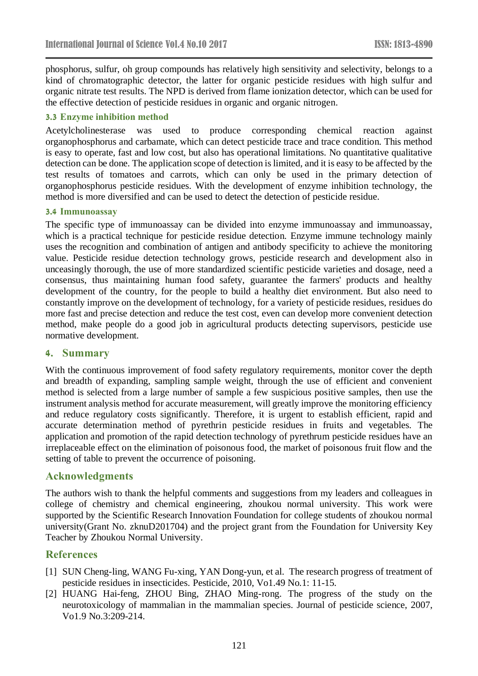phosphorus, sulfur, oh group compounds has relatively high sensitivity and selectivity, belongs to a kind of chromatographic detector, the latter for organic pesticide residues with high sulfur and organic nitrate test results. The NPD is derived from flame ionization detector, which can be used for the effective detection of pesticide residues in organic and organic nitrogen.

# **3.3 Enzyme inhibition method**

Acetylcholinesterase was used to produce corresponding chemical reaction against organophosphorus and carbamate, which can detect pesticide trace and trace condition. This method is easy to operate, fast and low cost, but also has operational limitations. No quantitative qualitative detection can be done. The application scope of detection is limited, and it is easy to be affected by the test results of tomatoes and carrots, which can only be used in the primary detection of organophosphorus pesticide residues. With the development of enzyme inhibition technology, the method is more diversified and can be used to detect the detection of pesticide residue.

### **3.4 Immunoassay**

The specific type of immunoassay can be divided into enzyme immunoassay and immunoassay, which is a practical technique for pesticide residue detection. Enzyme immune technology mainly uses the recognition and combination of antigen and antibody specificity to achieve the monitoring value. Pesticide residue detection technology grows, pesticide research and development also in unceasingly thorough, the use of more standardized scientific pesticide varieties and dosage, need a consensus, thus maintaining human food safety, guarantee the farmers' products and healthy development of the country, for the people to build a healthy diet environment. But also need to constantly improve on the development of technology, for a variety of pesticide residues, residues do more fast and precise detection and reduce the test cost, even can develop more convenient detection method, make people do a good job in agricultural products detecting supervisors, pesticide use normative development.

# **4. Summary**

With the continuous improvement of food safety regulatory requirements, monitor cover the depth and breadth of expanding, sampling sample weight, through the use of efficient and convenient method is selected from a large number of sample a few suspicious positive samples, then use the instrument analysis method for accurate measurement, will greatly improve the monitoring efficiency and reduce regulatory costs significantly. Therefore, it is urgent to establish efficient, rapid and accurate determination method of pyrethrin pesticide residues in fruits and vegetables. The application and promotion of the rapid detection technology of pyrethrum pesticide residues have an irreplaceable effect on the elimination of poisonous food, the market of poisonous fruit flow and the setting of table to prevent the occurrence of poisoning.

# **Acknowledgments**

The authors wish to thank the helpful comments and suggestions from my leaders and colleagues in college of chemistry and chemical engineering, zhoukou normal university. This work were supported by the Scientific Research Innovation Foundation for college students of zhoukou normal university(Grant No. zknuD201704) and the project grant from the Foundation for University Key Teacher by Zhoukou Normal University.

# **References**

- [1] SUN Cheng-ling, WANG Fu-xing, YAN Dong-yun, et al. The research progress of treatment of pesticide residues in insecticides. Pesticide, 2010, Vo1.49 No.1: 11-15.
- [2] HUANG Hai-feng, ZHOU Bing, ZHAO Ming-rong. The progress of the study on the neurotoxicology of mammalian in the mammalian species. Journal of pesticide science, 2007, Vo1.9 No.3:209-214.